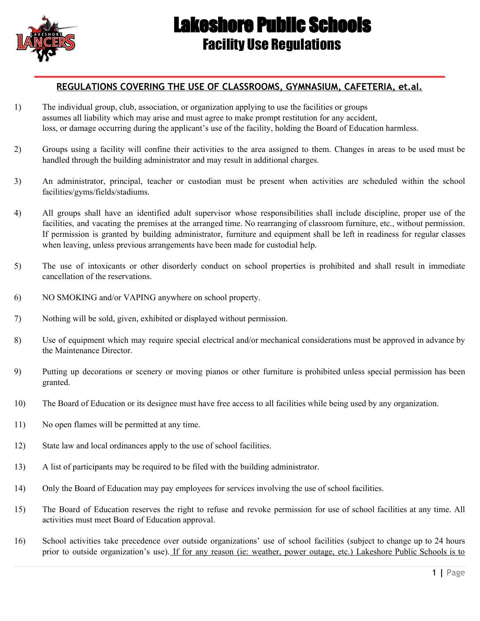

## Lakeshore Public Schools Facility Use Regulations

## **REGULATIONS COVERING THE USE OF CLASSROOMS, GYMNASIUM, CAFETERIA, et.al.**

- 1) The individual group, club, association, or organization applying to use the facilities or groups assumes all liability which may arise and must agree to make prompt restitution for any accident, loss, or damage occurring during the applicant's use of the facility, holding the Board of Education harmless.
- 2) Groups using a facility will confine their activities to the area assigned to them. Changes in areas to be used must be handled through the building administrator and may result in additional charges.
- 3) An administrator, principal, teacher or custodian must be present when activities are scheduled within the school facilities/gyms/fields/stadiums.
- 4) All groups shall have an identified adult supervisor whose responsibilities shall include discipline, proper use of the facilities, and vacating the premises at the arranged time. No rearranging of classroom furniture, etc., without permission. If permission is granted by building administrator, furniture and equipment shall be left in readiness for regular classes when leaving, unless previous arrangements have been made for custodial help.
- 5) The use of intoxicants or other disorderly conduct on school properties is prohibited and shall result in immediate cancellation of the reservations.
- 6) NO SMOKING and/or VAPING anywhere on school property.
- 7) Nothing will be sold, given, exhibited or displayed without permission.
- 8) Use of equipment which may require special electrical and/or mechanical considerations must be approved in advance by the Maintenance Director.
- 9) Putting up decorations or scenery or moving pianos or other furniture is prohibited unless special permission has been granted.
- 10) The Board of Education or its designee must have free access to all facilities while being used by any organization.
- 11) No open flames will be permitted at any time.
- 12) State law and local ordinances apply to the use of school facilities.
- 13) A list of participants may be required to be filed with the building administrator.
- 14) Only the Board of Education may pay employees for services involving the use of school facilities.
- 15) The Board of Education reserves the right to refuse and revoke permission for use of school facilities at any time. All activities must meet Board of Education approval.
- 16) School activities take precedence over outside organizations' use of school facilities (subject to change up to 24 hours prior to outside organization's use). If for any reason (ie: weather, power outage, etc.) Lakeshore Public Schools is to